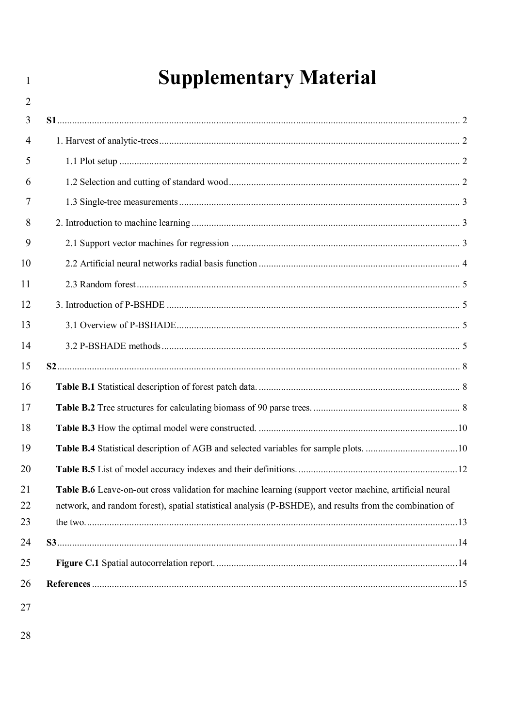# **Supplementary Material**

| $\overline{2}$ |                                                                                                          |
|----------------|----------------------------------------------------------------------------------------------------------|
| 3              |                                                                                                          |
| $\overline{4}$ |                                                                                                          |
| 5              |                                                                                                          |
| 6              |                                                                                                          |
| 7              |                                                                                                          |
| 8              |                                                                                                          |
| 9              |                                                                                                          |
| 10             |                                                                                                          |
| 11             |                                                                                                          |
| 12             |                                                                                                          |
| 13             |                                                                                                          |
| 14             |                                                                                                          |
| 15             |                                                                                                          |
| 16             |                                                                                                          |
| 17             |                                                                                                          |
| 18             |                                                                                                          |
| 19             |                                                                                                          |
| 20             |                                                                                                          |
| 21             | Table B.6 Leave-on-out cross validation for machine learning (support vector machine, artificial neural  |
| 22             | network, and random forest), spatial statistical analysis (P-BSHDE), and results from the combination of |
| 23             |                                                                                                          |
| 24             |                                                                                                          |
| 25             |                                                                                                          |
| 26             |                                                                                                          |
|                |                                                                                                          |

27

 $\overline{1}$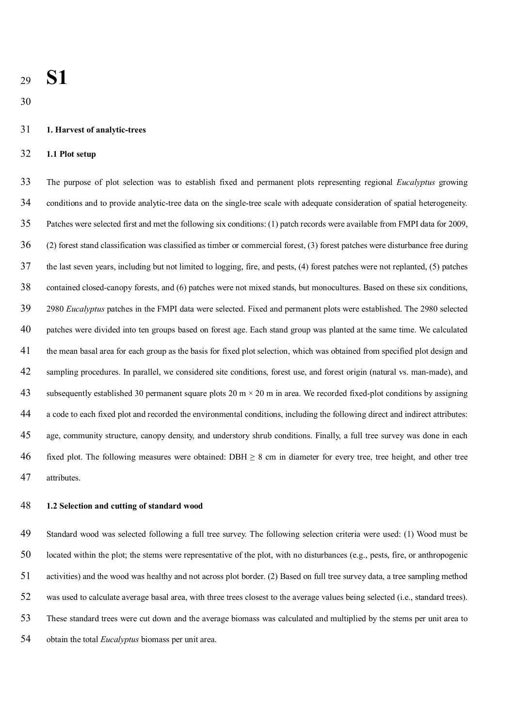# **S1**

#### **1. Harvest of analytic-trees**

#### **1.1 Plot setup**

 The purpose of plot selection was to establish fixed and permanent plots representing regional *Eucalyptus* growing conditions and to provide analytic-tree data on the single-tree scale with adequate consideration of spatial heterogeneity. Patches were selected first and met the following six conditions: (1) patch records were available from FMPI data for 2009, (2) forest stand classification was classified as timber or commercial forest, (3) forest patches were disturbance free during the last seven years, including but not limited to logging, fire, and pests, (4) forest patches were not replanted, (5) patches contained closed-canopy forests, and (6) patches were not mixed stands, but monocultures. Based on these six conditions, 2980 *Eucalyptus* patches in the FMPI data were selected. Fixed and permanent plots were established. The 2980 selected patches were divided into ten groups based on forest age. Each stand group was planted at the same time. We calculated the mean basal area for each group as the basis for fixed plot selection, which was obtained from specified plot design and sampling procedures. In parallel, we considered site conditions, forest use, and forest origin (natural vs. man-made), and 43 subsequently established 30 permanent square plots  $20 \text{ m} \times 20 \text{ m}$  in area. We recorded fixed-plot conditions by assigning a code to each fixed plot and recorded the environmental conditions, including the following direct and indirect attributes: age, community structure, canopy density, and understory shrub conditions. Finally, a full tree survey was done in each 46 fixed plot. The following measures were obtained: DBH  $\geq$  8 cm in diameter for every tree, tree height, and other tree attributes.

#### **1.2 Selection and cutting of standard wood**

 Standard wood was selected following a full tree survey. The following selection criteria were used: (1) Wood must be located within the plot; the stems were representative of the plot, with no disturbances (e.g., pests, fire, or anthropogenic activities) and the wood was healthy and not across plot border. (2) Based on full tree survey data, a tree sampling method was used to calculate average basal area, with three trees closest to the average values being selected (i.e., standard trees). These standard trees were cut down and the average biomass was calculated and multiplied by the stems per unit area to obtain the total *Eucalyptus* biomass per unit area.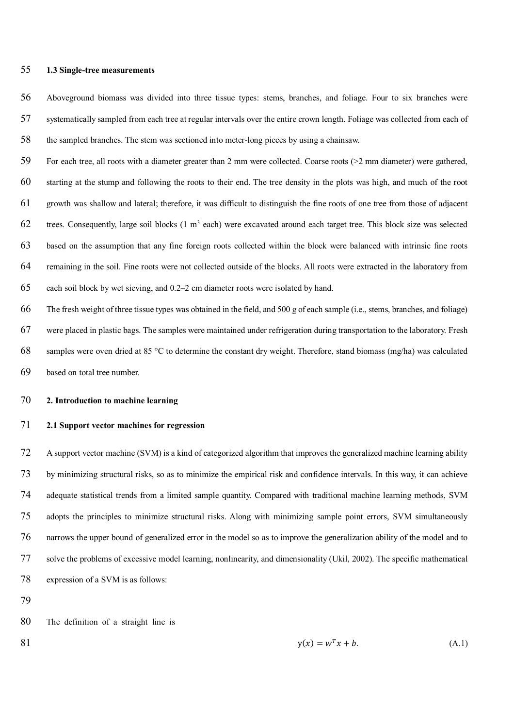#### **1.3 Single-tree measurements**

 Aboveground biomass was divided into three tissue types: stems, branches, and foliage. Four to six branches were systematically sampled from each tree at regular intervals over the entire crown length. Foliage was collected from each of the sampled branches. The stem was sectioned into meter-long pieces by using a chainsaw.

 For each tree, all roots with a diameter greater than 2 mm were collected. Coarse roots (>2 mm diameter) were gathered, starting at the stump and following the roots to their end. The tree density in the plots was high, and much of the root growth was shallow and lateral; therefore, it was difficult to distinguish the fine roots of one tree from those of adjacent 62 trees. Consequently, large soil blocks  $(1 \text{ m}^3 \text{ each})$  were excavated around each target tree. This block size was selected based on the assumption that any fine foreign roots collected within the block were balanced with intrinsic fine roots remaining in the soil. Fine roots were not collected outside of the blocks. All roots were extracted in the laboratory from each soil block by wet sieving, and 0.2–2 cm diameter roots were isolated by hand.

 The fresh weight of three tissue types was obtained in the field, and 500 g of each sample (i.e., stems, branches, and foliage) were placed in plastic bags. The samples were maintained under refrigeration during transportation to the laboratory. Fresh 68 samples were oven dried at 85 °C to determine the constant dry weight. Therefore, stand biomass (mg/ha) was calculated based on total tree number.

#### **2. Introduction to machine learning**

#### **2.1 Support vector machines for regression**

 A support vector machine (SVM) is a kind of categorized algorithm that improves the generalized machine learning ability by minimizing structural risks, so as to minimize the empirical risk and confidence intervals. In this way, it can achieve adequate statistical trends from a limited sample quantity. Compared with traditional machine learning methods, SVM adopts the principles to minimize structural risks. Along with minimizing sample point errors, SVM simultaneously narrows the upper bound of generalized error in the model so as to improve the generalization ability of the model and to solve the problems of excessive model learning, nonlinearity, and dimensionality (Ukil, 2002). The specific mathematical expression of a SVM is as follows:

The definition of a straight line is

81  $y(x) = w^T x + b.$  (A.1)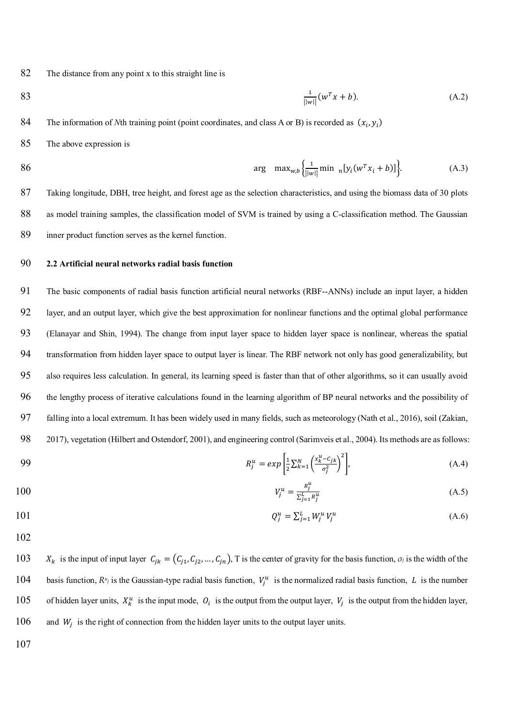82 The distance from any point x to this straight line is

83 
$$
\frac{1}{||w||}(w^T x + b).
$$
 (A.2)

84 The information of *N*th training point (point coordinates, and class A or B) is recorded as  $(x_i, y_i)$ 

85 The above expression is

86 
$$
\arg \max_{w,b} \left\{ \frac{1}{||w||} \min_n [y_i(w^T x_i + b)] \right\}.
$$
 (A.3)

87 Taking longitude, DBH, tree height, and forest age as the selection characteristics, and using the biomass data of 30 plots 88 as model training samples, the classification model of SVM is trained by using a C-classification method. The Gaussian 89 inner product function serves as the kernel function.

### 90 **2.2 Artificial neural networks radial basis function**

 The basic components of radial basis function artificial neural networks (RBF--ANNs) include an input layer, a hidden layer, and an output layer, which give the best approximation for nonlinear functions and the optimal global performance (Elanayar and Shin, 1994). The change from input layer space to hidden layer space is nonlinear, whereas the spatial transformation from hidden layer space to output layer is linear. The RBF network not only has good generalizability, but also requires less calculation. In general, its learning speed is faster than that of other algorithms, so it can usually avoid the lengthy process of iterative calculations found in the learning algorithm of BP neural networks and the possibility of falling into a local extremum. It has been widely used in many fields, such as meteorology (Nath et al., 2016), soil (Zakian, 2017), vegetation (Hilbert and Ostendorf, 2001), and engineering control (Sarimveis et al., 2004). Its methods are as follows:

99 
$$
R_j^u = exp\left[\frac{1}{2}\sum_{k=1}^N \left(\frac{x_k^u - c_{jk}}{\sigma_j^2}\right)^2\right],
$$
 (A.4)

100 
$$
V_j^u = \frac{R_j^u}{\sum_{j=1}^L R_j^u}
$$
 (A.5)

101 
$$
Q_j^u = \sum_{j=1}^L W_j^u V_j^u \tag{A.6}
$$

102

103  $X_k$  is the input of input layer  $C_{jk} = (C_{j1}, C_{j2}, ..., C_{jn})$ , T is the center of gravity for the basis function,  $\sigma_j$  is the width of the 104 basis function,  $R^u_j$  is the Gaussian-type radial basis function,  $V_j^u$  is the normalized radial basis function, L is the number 105 of hidden layer units,  $X_k^u$  is the input mode,  $O_i$  is the output from the output layer,  $V_j$  is the output from the hidden layer,  $106$  and  $W_i$  is the right of connection from the hidden layer units to the output layer units.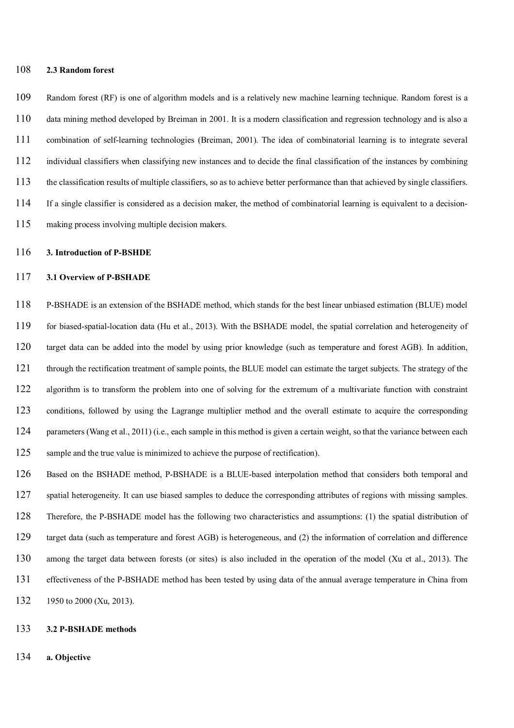#### **2.3 Random forest**

 Random forest (RF) is one of algorithm models and is a relatively new machine learning technique. Random forest is a data mining method developed by Breiman in 2001. It is a modern classification and regression technology and is also a combination of self-learning technologies (Breiman, 2001). The idea of combinatorial learning is to integrate several individual classifiers when classifying new instances and to decide the final classification of the instances by combining the classification results of multiple classifiers, so as to achieve better performance than that achieved by single classifiers. If a single classifier is considered as a decision maker, the method of combinatorial learning is equivalent to a decision-making process involving multiple decision makers.

#### **3. Introduction of P-BSHDE**

#### **3.1 Overview of P-BSHADE**

 P-BSHADE is an extension of the BSHADE method, which stands for the best linear unbiased estimation (BLUE) model for biased-spatial-location data (Hu et al., 2013). With the BSHADE model, the spatial correlation and heterogeneity of target data can be added into the model by using prior knowledge (such as temperature and forest AGB). In addition, through the rectification treatment of sample points, the BLUE model can estimate the target subjects. The strategy of the algorithm is to transform the problem into one of solving for the extremum of a multivariate function with constraint conditions, followed by using the Lagrange multiplier method and the overall estimate to acquire the corresponding 124 parameters (Wang et al., 2011) (i.e., each sample in this method is given a certain weight, so that the variance between each sample and the true value is minimized to achieve the purpose of rectification).

 Based on the BSHADE method, P-BSHADE is a BLUE-based interpolation method that considers both temporal and spatial heterogeneity. It can use biased samples to deduce the corresponding attributes of regions with missing samples. Therefore, the P-BSHADE model has the following two characteristics and assumptions: (1) the spatial distribution of target data (such as temperature and forest AGB) is heterogeneous, and (2) the information of correlation and difference among the target data between forests (or sites) is also included in the operation of the model (Xu et al., 2013). The effectiveness of the P-BSHADE method has been tested by using data of the annual average temperature in China from 132 1950 to 2000 (Xu, 2013).

#### **3.2 P-BSHADE methods**

**a. Objective**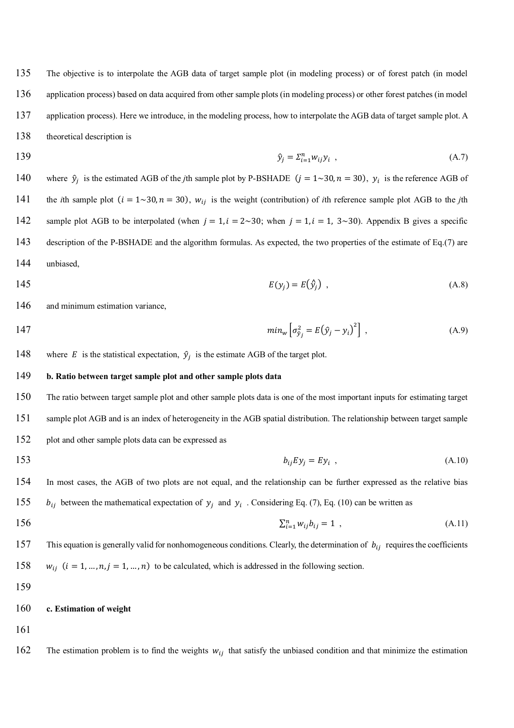The objective is to interpolate the AGB data of target sample plot (in modeling process) or of forest patch (in model application process) based on data acquired from other sample plots (in modeling process) or other forest patches (in model 137 application process). Here we introduce, in the modeling process, how to interpolate the AGB data of target sample plot. A theoretical description is

139  $\hat{y}_j = \sum_{i=1}^n w_{ij} y_i$ , (A.7)

140 where  $\hat{y}_j$  is the estimated AGB of the *j*th sample plot by P-BSHADE ( $j = 1 \sim 30$ ,  $n = 30$ ),  $y_i$  is the reference AGB of 141 the *i*th sample plot  $(i = 1 \sim 30, n = 30)$ ,  $w_{ij}$  is the weight (contribution) of *i*th reference sample plot AGB to the *j*th 142 sample plot AGB to be interpolated (when  $j = 1$ ,  $i = 2 \sim 30$ ; when  $j = 1$ ,  $i = 1$ ,  $3 \sim 30$ ). Appendix B gives a specific 143 description of the P-BSHADE and the algorithm formulas. As expected, the two properties of the estimate of Eq.(7) are 144 unbiased,

$$
E(y_j) = E(\hat{y}_j) \tag{A.8}
$$

146 and minimum estimation variance,

- 147  $min_w \left[ \sigma_{\hat{y}_j}^2 = E(\hat{y}_j y_i)^2 \right]$ , (A.9)
- 148 where E is the statistical expectation,  $\hat{y}_j$  is the estimate AGB of the target plot.

#### 149 **b. Ratio between target sample plot and other sample plots data**

150 The ratio between target sample plot and other sample plots data is one of the most important inputs for estimating target 151 sample plot AGB and is an index of heterogeneity in the AGB spatial distribution. The relationship between target sample 152 plot and other sample plots data can be expressed as

153  $b_{ij} E y_j = E y_i$ , (A.10)

154 In most cases, the AGB of two plots are not equal, and the relationship can be further expressed as the relative bias 155  $b_{ij}$  between the mathematical expectation of  $y_j$  and  $y_i$ . Considering Eq. (7), Eq. (10) can be written as

- 156  $\sum_{i=1}^{n} w_{ij} b_{ij} = 1$ , (A.11)
- 157 This equation is generally valid for nonhomogeneous conditions. Clearly, the determination of  $b_{ij}$  requires the coefficients 158  $w_{ii}$   $(i = 1, ..., n, j = 1, ..., n)$  to be calculated, which is addressed in the following section.

159

#### 160 **c. Estimation of weight**

161

162 The estimation problem is to find the weights  $w_{ij}$  that satisfy the unbiased condition and that minimize the estimation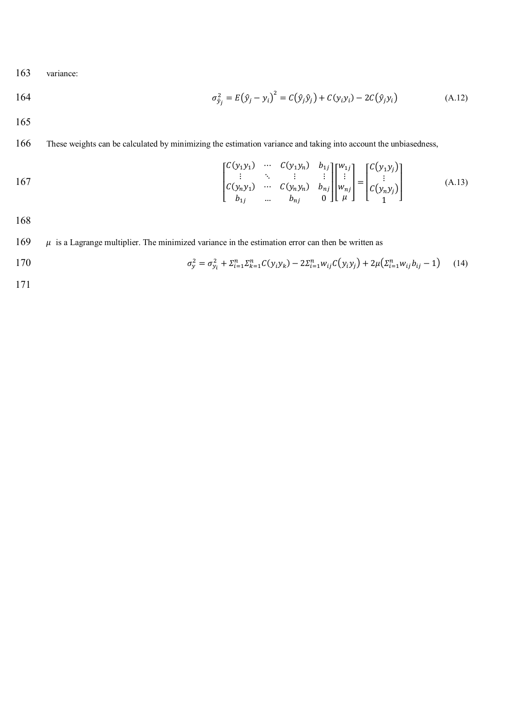163 variance:

164 
$$
\sigma_{\hat{y}_j}^2 = E(\hat{y}_j - y_i)^2 = C(\hat{y}_j \hat{y}_j) + C(y_i y_i) - 2C(\hat{y}_j y_i)
$$
(A.12)

165

# 166 These weights can be calculated by minimizing the estimation variance and taking into account the unbiasedness,

167  
\n
$$
\begin{bmatrix}\nC(y_1 y_1) & \cdots & C(y_1 y_n) & b_{1j} \\
\vdots & \ddots & \vdots & \vdots \\
C(y_n y_1) & \cdots & C(y_n y_n) & b_{nj} \\
b_{1j} & \cdots & b_{nj} & 0\n\end{bmatrix}\n\begin{bmatrix}\nw_{1j} \\
\vdots \\
w_{nj}\n\end{bmatrix} =\n\begin{bmatrix}\nC(y_1 y_j) \\
\vdots \\
C(y_n y_j)\n\end{bmatrix}
$$
\n(A.13)

168

169  $\mu$  is a Lagrange multiplier. The minimized variance in the estimation error can then be written as

170 
$$
\sigma_{y}^{2} = \sigma_{y_{i}}^{2} + \Sigma_{i=1}^{n} \Sigma_{k=1}^{n} C(y_{i} y_{k}) - 2 \Sigma_{i=1}^{n} w_{ij} C(y_{i} y_{j}) + 2 \mu (\Sigma_{i=1}^{n} w_{ij} b_{ij} - 1)
$$
 (14)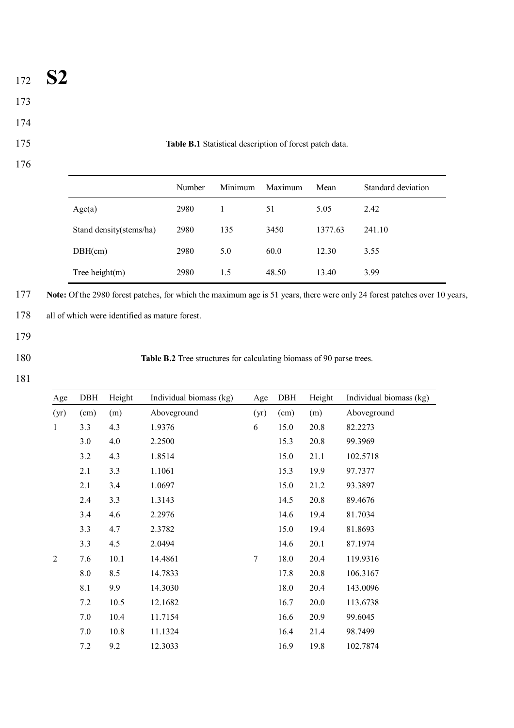- <sup>172</sup> **S2**
- 173
- 174
- 176

175 **Table B.1** Statistical description of forest patch data.

|                         | Number | Minimum | Maximum | Mean    | Standard deviation |
|-------------------------|--------|---------|---------|---------|--------------------|
| Age(a)                  | 2980   |         | 51      | 5.05    | 2.42               |
| Stand density(stems/ha) | 2980   | 135     | 3450    | 1377.63 | 241.10             |
| DBH(cm)                 | 2980   | 5.0     | 60.0    | 12.30   | 3.55               |
| Tree height $(m)$       | 2980   | 1.5     | 48.50   | 13.40   | 3.99               |

177 **Note:** Of the 2980 forest patches, for which the maximum age is 51 years, there were only 24 forest patches over 10 years,

178 all of which were identified as mature forest.

- 179
- 

180 **Table B.2** Tree structures for calculating biomass of 90 parse trees.

| Age            | DBH  | Height | Individual biomass (kg) | Age  | DBH  | Height | Individual biomass (kg) |
|----------------|------|--------|-------------------------|------|------|--------|-------------------------|
| (yr)           | (cm) | (m)    | Aboveground             | (yr) | (cm) | (m)    | Aboveground             |
| $\mathbf{1}$   | 3.3  | 4.3    | 1.9376                  | 6    | 15.0 | 20.8   | 82.2273                 |
|                | 3.0  | 4.0    | 2.2500                  |      | 15.3 | 20.8   | 99.3969                 |
|                | 3.2  | 4.3    | 1.8514                  |      | 15.0 | 21.1   | 102.5718                |
|                | 2.1  | 3.3    | 1.1061                  |      | 15.3 | 19.9   | 97.7377                 |
|                | 2.1  | 3.4    | 1.0697                  |      | 15.0 | 21.2   | 93.3897                 |
|                | 2.4  | 3.3    | 1.3143                  |      | 14.5 | 20.8   | 89.4676                 |
|                | 3.4  | 4.6    | 2.2976                  |      | 14.6 | 19.4   | 81.7034                 |
|                | 3.3  | 4.7    | 2.3782                  |      | 15.0 | 19.4   | 81.8693                 |
|                | 3.3  | 4.5    | 2.0494                  |      | 14.6 | 20.1   | 87.1974                 |
| $\overline{2}$ | 7.6  | 10.1   | 14.4861                 | 7    | 18.0 | 20.4   | 119.9316                |
|                | 8.0  | 8.5    | 14.7833                 |      | 17.8 | 20.8   | 106.3167                |
|                | 8.1  | 9.9    | 14.3030                 |      | 18.0 | 20.4   | 143.0096                |
|                | 7.2  | 10.5   | 12.1682                 |      | 16.7 | 20.0   | 113.6738                |
|                | 7.0  | 10.4   | 11.7154                 |      | 16.6 | 20.9   | 99.6045                 |
|                | 7.0  | 10.8   | 11.1324                 |      | 16.4 | 21.4   | 98.7499                 |
|                | 7.2  | 9.2    | 12.3033                 |      | 16.9 | 19.8   | 102.7874                |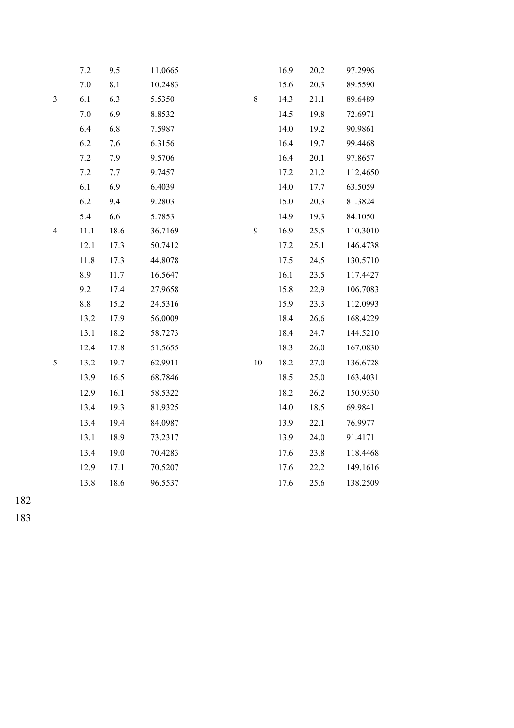|                | 7.2     | 9.5  | 11.0665 |         | 16.9 | 20.2 | 97.2996  |
|----------------|---------|------|---------|---------|------|------|----------|
|                | $7.0\,$ | 8.1  | 10.2483 |         | 15.6 | 20.3 | 89.5590  |
| $\mathfrak{Z}$ | 6.1     | 6.3  | 5.5350  | $\,8\,$ | 14.3 | 21.1 | 89.6489  |
|                | $7.0\,$ | 6.9  | 8.8532  |         | 14.5 | 19.8 | 72.6971  |
|                | 6.4     | 6.8  | 7.5987  |         | 14.0 | 19.2 | 90.9861  |
|                | 6.2     | 7.6  | 6.3156  |         | 16.4 | 19.7 | 99.4468  |
|                | 7.2     | 7.9  | 9.5706  |         | 16.4 | 20.1 | 97.8657  |
|                | 7.2     | 7.7  | 9.7457  |         | 17.2 | 21.2 | 112.4650 |
|                | 6.1     | 6.9  | 6.4039  |         | 14.0 | 17.7 | 63.5059  |
|                | 6.2     | 9.4  | 9.2803  |         | 15.0 | 20.3 | 81.3824  |
|                | 5.4     | 6.6  | 5.7853  |         | 14.9 | 19.3 | 84.1050  |
| $\overline{4}$ | 11.1    | 18.6 | 36.7169 | 9       | 16.9 | 25.5 | 110.3010 |
|                | 12.1    | 17.3 | 50.7412 |         | 17.2 | 25.1 | 146.4738 |
|                | 11.8    | 17.3 | 44.8078 |         | 17.5 | 24.5 | 130.5710 |
|                | 8.9     | 11.7 | 16.5647 |         | 16.1 | 23.5 | 117.4427 |
|                | 9.2     | 17.4 | 27.9658 |         | 15.8 | 22.9 | 106.7083 |
|                | $8.8\,$ | 15.2 | 24.5316 |         | 15.9 | 23.3 | 112.0993 |
|                | 13.2    | 17.9 | 56.0009 |         | 18.4 | 26.6 | 168.4229 |
|                | 13.1    | 18.2 | 58.7273 |         | 18.4 | 24.7 | 144.5210 |
|                | 12.4    | 17.8 | 51.5655 |         | 18.3 | 26.0 | 167.0830 |
| 5              | 13.2    | 19.7 | 62.9911 | $10\,$  | 18.2 | 27.0 | 136.6728 |
|                | 13.9    | 16.5 | 68.7846 |         | 18.5 | 25.0 | 163.4031 |
|                | 12.9    | 16.1 | 58.5322 |         | 18.2 | 26.2 | 150.9330 |
|                | 13.4    | 19.3 | 81.9325 |         | 14.0 | 18.5 | 69.9841  |
|                | 13.4    | 19.4 | 84.0987 |         | 13.9 | 22.1 | 76.9977  |
|                | 13.1    | 18.9 | 73.2317 |         | 13.9 | 24.0 | 91.4171  |
|                | 13.4    | 19.0 | 70.4283 |         | 17.6 | 23.8 | 118.4468 |
|                | 12.9    | 17.1 | 70.5207 |         | 17.6 | 22.2 | 149.1616 |
|                | 13.8    | 18.6 | 96.5537 |         | 17.6 | 25.6 | 138.2509 |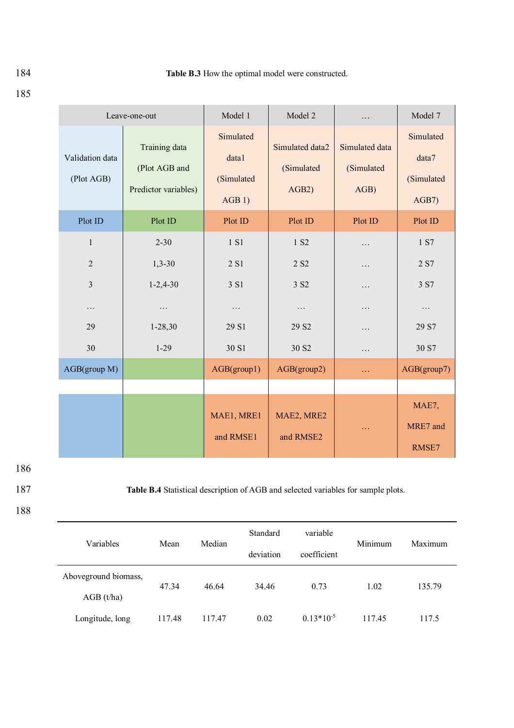|                               | Leave-one-out                                          | Model 1                                   | Model 2                                | .                                    | Model 7                                   |
|-------------------------------|--------------------------------------------------------|-------------------------------------------|----------------------------------------|--------------------------------------|-------------------------------------------|
| Validation data<br>(Plot AGB) | Training data<br>(Plot AGB and<br>Predictor variables) | Simulated<br>data1<br>(Simulated<br>AGB1) | Simulated data2<br>(Simulated<br>AGB2) | Simulated data<br>(Simulated<br>AGB) | Simulated<br>data7<br>(Simulated<br>AGB7) |
| Plot ID                       | Plot ID                                                | Plot ID                                   | Plot ID                                | Plot ID                              | Plot ID                                   |
| $\mathbf{1}$                  | $2 - 30$                                               | 1 S1                                      | 1 S <sub>2</sub>                       | .                                    | 1 S7                                      |
| $\overline{2}$                | $1,3-30$                                               | 2 S1                                      | 2 S <sub>2</sub>                       | $\cdots$                             | 2 S7                                      |
| $\overline{3}$                | $1 - 2,4 - 30$                                         | 3 S1                                      | 3 S <sub>2</sub>                       | .                                    | 3 S7                                      |
| $\cdots$                      | .                                                      | .                                         | $\cdots$                               | $\ddots$                             | $\cdots$                                  |
| 29                            | $1-28,30$                                              | 29 S1                                     | 29 S <sub>2</sub>                      | .                                    | 29 S7                                     |
| 30                            | $1-29$                                                 | 30 S1                                     | 30 S <sub>2</sub>                      | $\cdots$                             | 30 S7                                     |
| AGB(group M)                  |                                                        | AGB(group1)                               | AGB(group2)                            | $\ldots$                             | AGB(group7)                               |
|                               |                                                        |                                           |                                        |                                      |                                           |
|                               |                                                        | MAE1, MRE1<br>and RMSE1                   | MAE2, MRE2<br>and RMSE2                | .                                    | MAE7,<br>MRE7 and<br>RMSE7                |

187 **Table B.4** Statistical description of AGB and selected variables for sample plots.

## 188

| Variables            | Mean   | Median | Standard  | variable       | Minimum | Maximum |  |
|----------------------|--------|--------|-----------|----------------|---------|---------|--|
|                      |        |        | deviation | coefficient    |         |         |  |
| Aboveground biomass, |        |        |           |                |         |         |  |
| AGB(t/ha)            | 47.34  | 46.64  | 34.46     | 0.73           | 1.02    | 135.79  |  |
| Longitude, long      | 117.48 | 117.47 | 0.02      | $0.13*10^{-5}$ | 117.45  | 117.5   |  |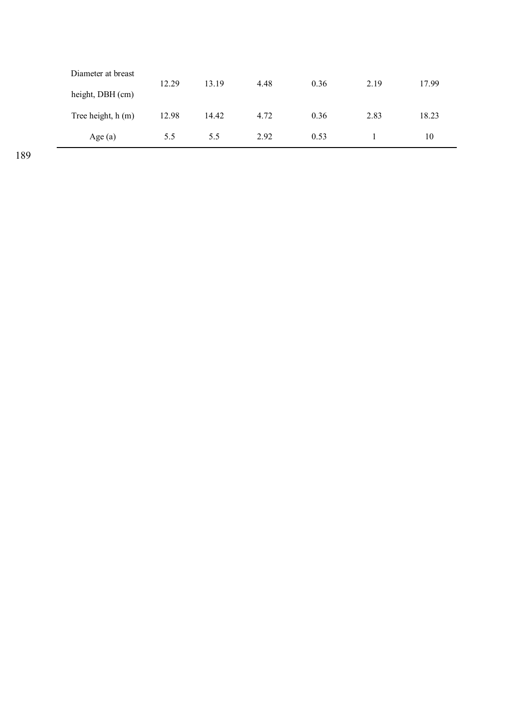| Diameter at breast | 12.29 | 13.19 | 4.48 | 0.36 | 2.19 | 17.99 |
|--------------------|-------|-------|------|------|------|-------|
| height, DBH (cm)   |       |       |      |      |      |       |
| Tree height, h (m) | 12.98 | 14.42 | 4.72 | 0.36 | 2.83 | 18.23 |
| Age(a)             | 5.5   | 5.5   | 2.92 | 0.53 |      | 10    |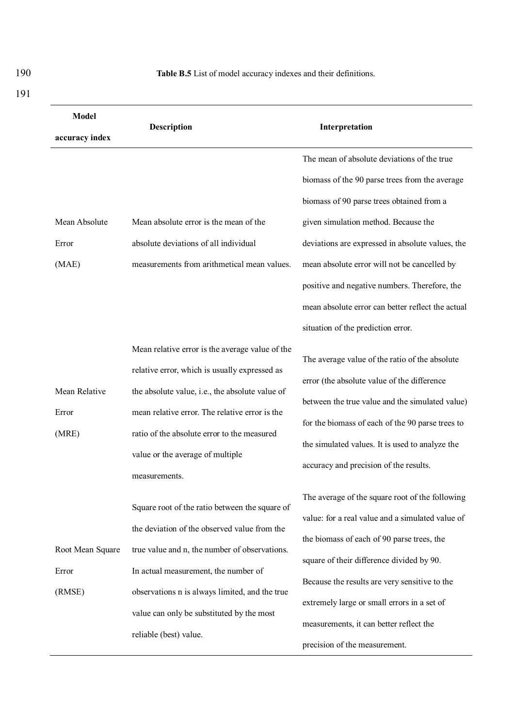| <b>Model</b>                                      | <b>Description</b>                                                                                                                                                                                                                                                                                               | Interpretation                                                                                                                                                                                                                                                                                                                                                                               |  |  |
|---------------------------------------------------|------------------------------------------------------------------------------------------------------------------------------------------------------------------------------------------------------------------------------------------------------------------------------------------------------------------|----------------------------------------------------------------------------------------------------------------------------------------------------------------------------------------------------------------------------------------------------------------------------------------------------------------------------------------------------------------------------------------------|--|--|
| accuracy index<br>Mean Absolute<br>Error<br>(MAE) | Mean absolute error is the mean of the<br>absolute deviations of all individual<br>measurements from arithmetical mean values.                                                                                                                                                                                   | The mean of absolute deviations of the true<br>biomass of the 90 parse trees from the average<br>biomass of 90 parse trees obtained from a<br>given simulation method. Because the<br>deviations are expressed in absolute values, the<br>mean absolute error will not be cancelled by<br>positive and negative numbers. Therefore, the<br>mean absolute error can better reflect the actual |  |  |
| Mean Relative<br>Error<br>(MRE)                   | Mean relative error is the average value of the<br>relative error, which is usually expressed as<br>the absolute value, i.e., the absolute value of<br>mean relative error. The relative error is the<br>ratio of the absolute error to the measured<br>value or the average of multiple<br>measurements.        | situation of the prediction error.<br>The average value of the ratio of the absolute<br>error (the absolute value of the difference<br>between the true value and the simulated value)<br>for the biomass of each of the 90 parse trees to<br>the simulated values. It is used to analyze the<br>accuracy and precision of the results.                                                      |  |  |
| Root Mean Square<br>Error<br>(RMSE)               | Square root of the ratio between the square of<br>the deviation of the observed value from the<br>true value and n, the number of observations.<br>In actual measurement, the number of<br>observations n is always limited, and the true<br>value can only be substituted by the most<br>reliable (best) value. | The average of the square root of the following<br>value: for a real value and a simulated value of<br>the biomass of each of 90 parse trees, the<br>square of their difference divided by 90.<br>Because the results are very sensitive to the<br>extremely large or small errors in a set of<br>measurements, it can better reflect the<br>precision of the measurement.                   |  |  |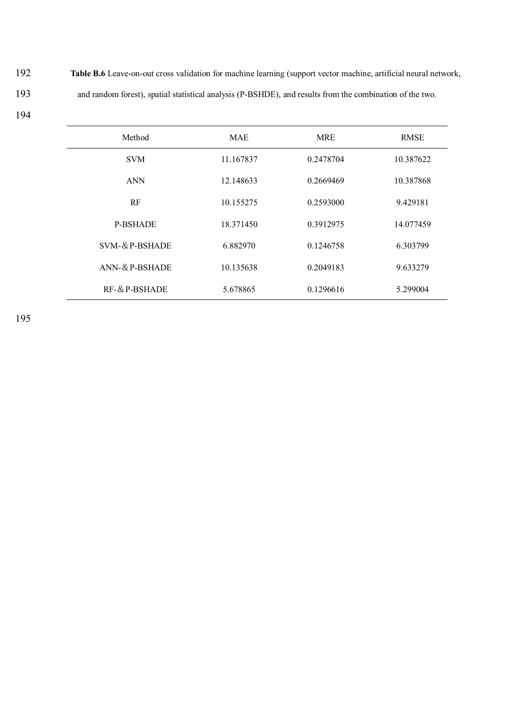192 **Table B.6** Leave-on-out cross validation for machine learning (support vector machine, artificial neural network, 193 and random forest), spatial statistical analysis (P-BSHDE), and results from the combination of the two.

| ٦<br>۰.<br>v |  |
|--------------|--|
|--------------|--|

| Method             | <b>MAE</b> | <b>MRE</b> | <b>RMSE</b> |
|--------------------|------------|------------|-------------|
| <b>SVM</b>         | 11.167837  | 0.2478704  | 10.387622   |
| <b>ANN</b>         | 12.148633  | 0.2669469  | 10.387868   |
| RF                 | 10.155275  | 0.2593000  | 9.429181    |
| <b>P-BSHADE</b>    | 18.371450  | 0.3912975  | 14.077459   |
| SVM-&P-BSHADE      | 6.882970   | 0.1246758  | 6.303799    |
| $ANN-& P-BSHADE$   | 10.135638  | 0.2049183  | 9.633279    |
| $RF - \& P-BSHADE$ | 5.678865   | 0.1296616  | 5.299004    |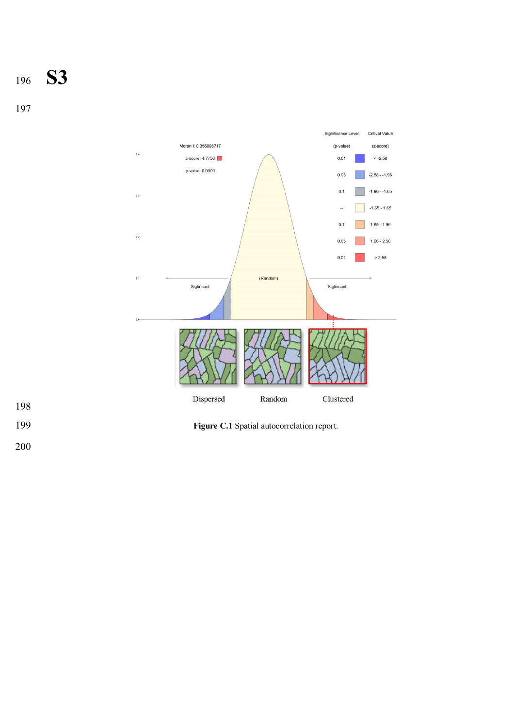**S3**



**Figure C.1** Spatial autocorrelation report.